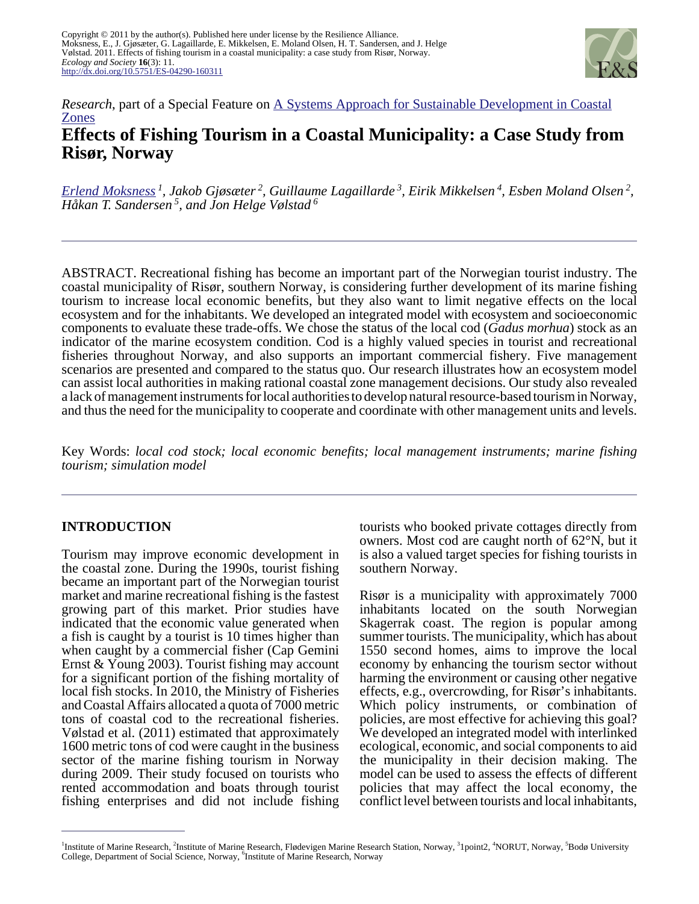

# *Research*, part of a Special Feature on [A Systems Approach for Sustainable Development in Coastal](http://www.ecologyandsociety.org/viewissue.php?sf=67) [Zones](http://www.ecologyandsociety.org/viewissue.php?sf=67) **Effects of Fishing Tourism in a Coastal Municipality: a Case Study from Risør, Norway**

*[Erlend Moksness](mailto:moksness@imr.no)<sup>1</sup> , Jakob Gjøsæter<sup>2</sup> , Guillaume Lagaillarde<sup>3</sup> , Eirik Mikkelsen<sup>4</sup> , Esben Moland Olsen<sup>2</sup> , Håkan T. Sandersen<sup>5</sup>, and Jon Helge Vølstad<sup>6</sup>*

ABSTRACT. Recreational fishing has become an important part of the Norwegian tourist industry. The coastal municipality of Risør, southern Norway, is considering further development of its marine fishing tourism to increase local economic benefits, but they also want to limit negative effects on the local ecosystem and for the inhabitants. We developed an integrated model with ecosystem and socioeconomic components to evaluate these trade-offs. We chose the status of the local cod (*Gadus morhua*) stock as an indicator of the marine ecosystem condition. Cod is a highly valued species in tourist and recreational fisheries throughout Norway, and also supports an important commercial fishery. Five management scenarios are presented and compared to the status quo. Our research illustrates how an ecosystem model can assist local authorities in making rational coastal zone management decisions. Our study also revealed a lack of management instruments for local authorities to develop natural resource-based tourism in Norway, and thus the need for the municipality to cooperate and coordinate with other management units and levels.

Key Words: *local cod stock; local economic benefits; local management instruments; marine fishing tourism; simulation model*

## **INTRODUCTION**

Tourism may improve economic development in the coastal zone. During the 1990s, tourist fishing became an important part of the Norwegian tourist market and marine recreational fishing is the fastest growing part of this market. Prior studies have indicated that the economic value generated when a fish is caught by a tourist is 10 times higher than when caught by a commercial fisher (Cap Gemini Ernst & Young 2003). Tourist fishing may account for a significant portion of the fishing mortality of local fish stocks. In 2010, the Ministry of Fisheries and Coastal Affairs allocated a quota of 7000 metric tons of coastal cod to the recreational fisheries. Vølstad et al. (2011) estimated that approximately 1600 metric tons of cod were caught in the business sector of the marine fishing tourism in Norway during 2009. Their study focused on tourists who rented accommodation and boats through tourist fishing enterprises and did not include fishing

tourists who booked private cottages directly from owners. Most cod are caught north of 62°N, but it is also a valued target species for fishing tourists in southern Norway.

Risør is a municipality with approximately 7000 inhabitants located on the south Norwegian Skagerrak coast. The region is popular among summer tourists. The municipality, which has about 1550 second homes, aims to improve the local economy by enhancing the tourism sector without harming the environment or causing other negative effects, e.g., overcrowding, for Risør's inhabitants. Which policy instruments, or combination of policies, are most effective for achieving this goal? We developed an integrated model with interlinked ecological, economic, and social components to aid the municipality in their decision making. The model can be used to assess the effects of different policies that may affect the local economy, the conflict level between tourists and local inhabitants,

<sup>1</sup>Institute of Marine Research, <sup>2</sup>Institute of Marine Research, Flødevigen Marine Research Station, Norway, <sup>3</sup>1point2, <sup>4</sup>NORUT, Norway, <sup>5</sup>Bodø University College, Department of Social Science, Norway, <sup>6</sup>Institute of Marine Research, Norway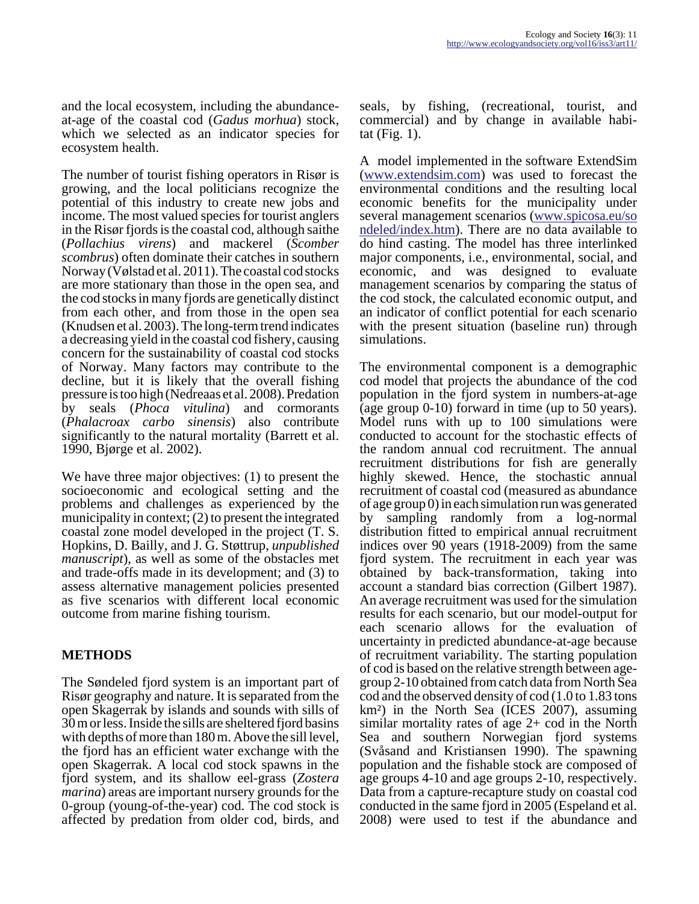and the local ecosystem, including the abundanceat-age of the coastal cod (*Gadus morhua*) stock, which we selected as an indicator species for ecosystem health.

The number of tourist fishing operators in Risør is growing, and the local politicians recognize the potential of this industry to create new jobs and income. The most valued species for tourist anglers in the Risør fjords is the coastal cod, although saithe (*Pollachius virens*) and mackerel (*Scomber scombrus*) often dominate their catches in southern Norway (Vølstad et al. 2011). The coastal cod stocks are more stationary than those in the open sea, and the cod stocks in many fjords are genetically distinct from each other, and from those in the open sea (Knudsen et al. 2003). The long-term trend indicates a decreasing yield in the coastal cod fishery, causing concern for the sustainability of coastal cod stocks of Norway. Many factors may contribute to the decline, but it is likely that the overall fishing pressure is too high (Nedreaas et al. 2008). Predation by seals (*Phoca vitulina*) and cormorants (*Phalacroax carbo sinensis*) also contribute significantly to the natural mortality (Barrett et al. 1990, Bjørge et al. 2002).

We have three major objectives: (1) to present the socioeconomic and ecological setting and the problems and challenges as experienced by the municipality in context; (2) to present the integrated coastal zone model developed in the project (T. S. Hopkins, D. Bailly, and J. G. Støttrup, *unpublished manuscript*), as well as some of the obstacles met and trade-offs made in its development; and (3) to assess alternative management policies presented as five scenarios with different local economic outcome from marine fishing tourism.

## **METHODS**

The Søndeled fjord system is an important part of Risør geography and nature. It is separated from the open Skagerrak by islands and sounds with sills of 30 m or less. Inside the sills are sheltered fjord basins with depths of more than 180 m. Above the sill level, the fjord has an efficient water exchange with the open Skagerrak. A local cod stock spawns in the fjord system, and its shallow eel-grass (*Zostera marina*) areas are important nursery grounds for the 0-group (young-of-the-year) cod. The cod stock is affected by predation from older cod, birds, and

seals, by fishing, (recreational, tourist, and commercial) and by change in available habitat (Fig. 1).

A model implemented in the software ExtendSim ([www.extendsim.com\)](http://www.extendsim.com) was used to forecast the environmental conditions and the resulting local economic benefits for the municipality under several management scenarios ([www.spicosa.eu/so](http://www.spicosa.eu/sondeled/index.htm) [ndeled/index.htm\)](http://www.spicosa.eu/sondeled/index.htm). There are no data available to do hind casting. The model has three interlinked major components, i.e., environmental, social, and economic, and was designed to evaluate management scenarios by comparing the status of the cod stock, the calculated economic output, and an indicator of conflict potential for each scenario with the present situation (baseline run) through simulations.

The environmental component is a demographic cod model that projects the abundance of the cod population in the fjord system in numbers-at-age (age group 0-10) forward in time (up to 50 years). Model runs with up to 100 simulations were conducted to account for the stochastic effects of the random annual cod recruitment. The annual recruitment distributions for fish are generally highly skewed. Hence, the stochastic annual recruitment of coastal cod (measured as abundance of age group 0) in each simulation run was generated by sampling randomly from a log-normal distribution fitted to empirical annual recruitment indices over 90 years (1918-2009) from the same fjord system. The recruitment in each year was obtained by back-transformation, taking into account a standard bias correction (Gilbert 1987). An average recruitment was used for the simulation results for each scenario, but our model-output for each scenario allows for the evaluation of uncertainty in predicted abundance-at-age because of recruitment variability. The starting population of cod is based on the relative strength between agegroup 2-10 obtained from catch data from North Sea cod and the observed density of cod (1.0 to 1.83 tons km²) in the North Sea (ICES 2007), assuming similar mortality rates of age 2+ cod in the North Sea and southern Norwegian fjord systems (Svåsand and Kristiansen 1990). The spawning population and the fishable stock are composed of age groups 4-10 and age groups 2-10, respectively. Data from a capture-recapture study on coastal cod conducted in the same fjord in 2005 (Espeland et al. 2008) were used to test if the abundance and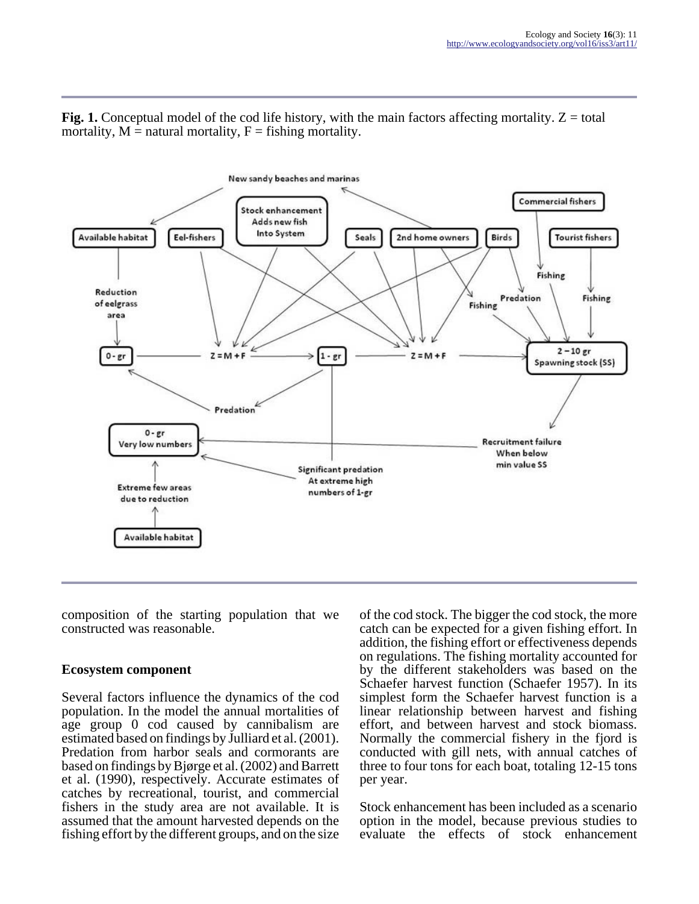**Fig. 1.** Conceptual model of the cod life history, with the main factors affecting mortality.  $Z =$  total mortality,  $M =$  natural mortality,  $F =$  fishing mortality.



composition of the starting population that we constructed was reasonable.

#### **Ecosystem component**

Several factors influence the dynamics of the cod population. In the model the annual mortalities of age group 0 cod caused by cannibalism are estimated based on findings by Julliard et al. (2001). Predation from harbor seals and cormorants are based on findings by Bjørge et al. (2002) and Barrett et al. (1990), respectively. Accurate estimates of catches by recreational, tourist, and commercial fishers in the study area are not available. It is assumed that the amount harvested depends on the fishing effort by the different groups, and on the size

of the cod stock. The bigger the cod stock, the more catch can be expected for a given fishing effort. In addition, the fishing effort or effectiveness depends on regulations. The fishing mortality accounted for by the different stakeholders was based on the Schaefer harvest function (Schaefer 1957). In its simplest form the Schaefer harvest function is a linear relationship between harvest and fishing effort, and between harvest and stock biomass. Normally the commercial fishery in the fjord is conducted with gill nets, with annual catches of three to four tons for each boat, totaling 12-15 tons per year.

Stock enhancement has been included as a scenario option in the model, because previous studies to evaluate the effects of stock enhancement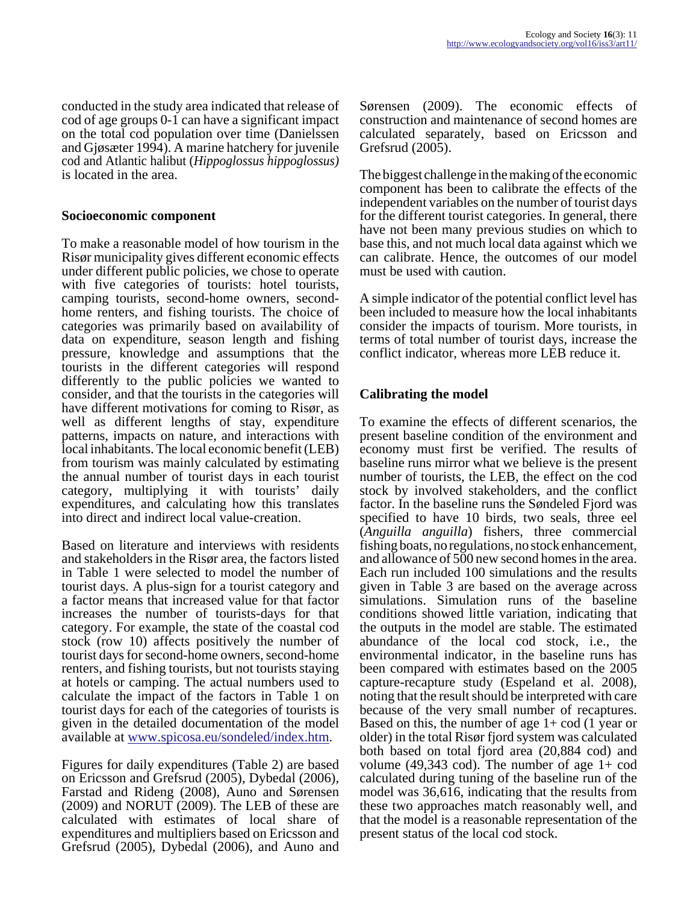conducted in the study area indicated that release of cod of age groups 0-1 can have a significant impact on the total cod population over time (Danielssen and Gjøsæter 1994). A marine hatchery for juvenile cod and Atlantic halibut (*Hippoglossus hippoglossus)* is located in the area.

#### **Socioeconomic component**

To make a reasonable model of how tourism in the Risør municipality gives different economic effects under different public policies, we chose to operate with five categories of tourists: hotel tourists, camping tourists, second-home owners, secondhome renters, and fishing tourists. The choice of categories was primarily based on availability of data on expenditure, season length and fishing pressure, knowledge and assumptions that the tourists in the different categories will respond differently to the public policies we wanted to consider, and that the tourists in the categories will have different motivations for coming to Risør, as well as different lengths of stay, expenditure patterns, impacts on nature, and interactions with local inhabitants. The local economic benefit (LEB) from tourism was mainly calculated by estimating the annual number of tourist days in each tourist category, multiplying it with tourists' daily expenditures, and calculating how this translates into direct and indirect local value-creation.

Based on literature and interviews with residents and stakeholders in the Risør area, the factors listed in Table 1 were selected to model the number of tourist days. A plus-sign for a tourist category and a factor means that increased value for that factor increases the number of tourists-days for that category. For example, the state of the coastal cod stock (row 10) affects positively the number of tourist days for second-home owners, second-home renters, and fishing tourists, but not tourists staying at hotels or camping. The actual numbers used to calculate the impact of the factors in Table 1 on tourist days for each of the categories of tourists is given in the detailed documentation of the model available at [www.spicosa.eu/sondeled/index.htm](http://www.spicosa.eu/sondeled/index.htm).

Figures for daily expenditures (Table 2) are based on Ericsson and Grefsrud (2005), Dybedal (2006), Farstad and Rideng (2008), Auno and Sørensen (2009) and NORUT (2009). The LEB of these are calculated with estimates of local share of expenditures and multipliers based on Ericsson and Grefsrud (2005), Dybedal (2006), and Auno and

Sørensen (2009). The economic effects of construction and maintenance of second homes are calculated separately, based on Ericsson and Grefsrud (2005).

The biggest challenge in the making of the economic component has been to calibrate the effects of the independent variables on the number of tourist days for the different tourist categories. In general, there have not been many previous studies on which to base this, and not much local data against which we can calibrate. Hence, the outcomes of our model must be used with caution.

A simple indicator of the potential conflict level has been included to measure how the local inhabitants consider the impacts of tourism. More tourists, in terms of total number of tourist days, increase the conflict indicator, whereas more LEB reduce it.

## **Calibrating the model**

To examine the effects of different scenarios, the present baseline condition of the environment and economy must first be verified. The results of baseline runs mirror what we believe is the present number of tourists, the LEB, the effect on the cod stock by involved stakeholders, and the conflict factor. In the baseline runs the Søndeled Fjord was specified to have 10 birds, two seals, three eel (*Anguilla anguilla*) fishers, three commercial fishing boats, no regulations, no stock enhancement, and allowance of 500 new second homes in the area. Each run included 100 simulations and the results given in Table 3 are based on the average across simulations. Simulation runs of the baseline conditions showed little variation, indicating that the outputs in the model are stable. The estimated abundance of the local cod stock, i.e., the environmental indicator, in the baseline runs has been compared with estimates based on the 2005 capture-recapture study (Espeland et al. 2008), noting that the result should be interpreted with care because of the very small number of recaptures. Based on this, the number of age  $1+\text{cod}(1)$  year or older) in the total Risør fjord system was calculated both based on total fjord area (20,884 cod) and volume  $(49,343 \text{ cod})$ . The number of age  $1+\text{cod}$ calculated during tuning of the baseline run of the model was 36,616, indicating that the results from these two approaches match reasonably well, and that the model is a reasonable representation of the present status of the local cod stock.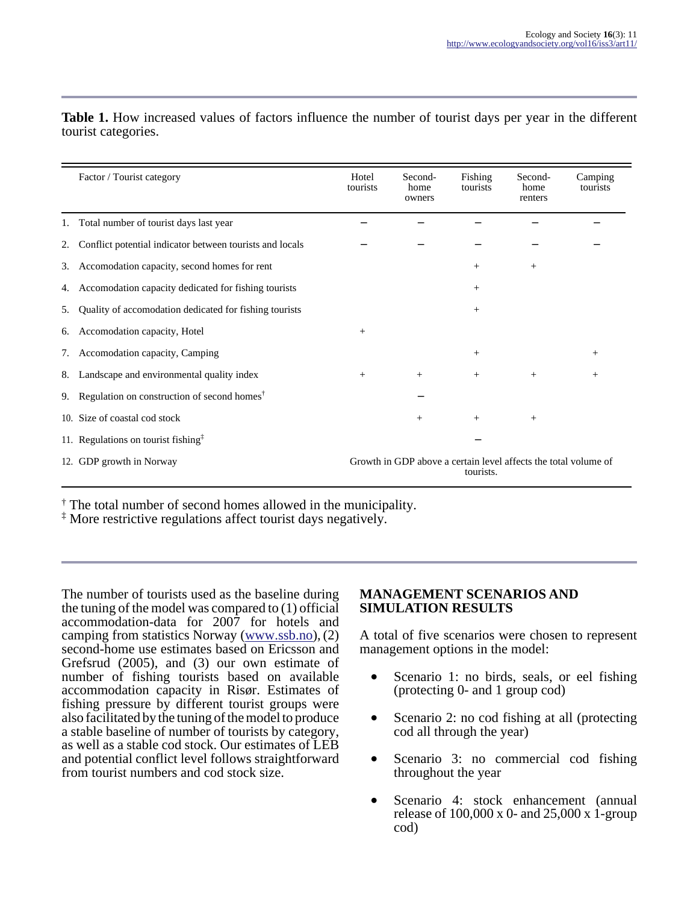|    | Factor / Tourist category                                                  | Hotel<br>tourists                                                            | Second-<br>home<br>owners | Fishing<br>tourists | Second-<br>home<br>renters | Camping<br>tourists |
|----|----------------------------------------------------------------------------|------------------------------------------------------------------------------|---------------------------|---------------------|----------------------------|---------------------|
| 1. | Total number of tourist days last year                                     |                                                                              |                           |                     |                            |                     |
| 2. | Conflict potential indicator between tourists and locals                   |                                                                              |                           |                     |                            |                     |
| 3. | Accomodation capacity, second homes for rent                               |                                                                              |                           | $^{+}$              | $^{+}$                     |                     |
| 4. | Accomodation capacity dedicated for fishing tourists                       |                                                                              |                           | $^{+}$              |                            |                     |
| 5. | Quality of accomodation dedicated for fishing tourists                     |                                                                              |                           | $^{+}$              |                            |                     |
| 6. | Accomodation capacity, Hotel                                               | $^{+}$                                                                       |                           |                     |                            |                     |
| 7. | Accomodation capacity, Camping                                             |                                                                              |                           | $^{+}$              |                            | $^{+}$              |
| 8. | Landscape and environmental quality index                                  | $^{+}$                                                                       | $^{+}$                    | $^{+}$              | $^{+}$                     | $^{+}$              |
| 9. | Regulation on construction of second homes <sup><math>\dagger</math></sup> |                                                                              |                           |                     |                            |                     |
|    | 10. Size of coastal cod stock                                              |                                                                              | $^{+}$                    | $^{+}$              | $^{+}$                     |                     |
|    | 11. Regulations on tourist fishing $‡$                                     |                                                                              |                           |                     |                            |                     |
|    | 12. GDP growth in Norway                                                   | Growth in GDP above a certain level affects the total volume of<br>tourists. |                           |                     |                            |                     |

**Table 1.** How increased values of factors influence the number of tourist days per year in the different tourist categories.

† The total number of second homes allowed in the municipality.

‡ More restrictive regulations affect tourist days negatively.

The number of tourists used as the baseline during the tuning of the model was compared to (1) official accommodation-data for 2007 for hotels and camping from statistics Norway ([www.ssb.no\)](http://www.ssb.no), (2) second-home use estimates based on Ericsson and Grefsrud (2005), and (3) our own estimate of number of fishing tourists based on available accommodation capacity in Risør. Estimates of fishing pressure by different tourist groups were also facilitated by the tuning of the model to produce a stable baseline of number of tourists by category, as well as a stable cod stock. Our estimates of LEB and potential conflict level follows straightforward from tourist numbers and cod stock size.

### **MANAGEMENT SCENARIOS AND SIMULATION RESULTS**

A total of five scenarios were chosen to represent management options in the model:

- Scenario 1: no birds, seals, or eel fishing (protecting 0- and 1 group cod)
- Scenario 2: no cod fishing at all (protecting cod all through the year)
- Scenario 3: no commercial cod fishing throughout the year
- Scenario 4: stock enhancement (annual release of  $100,000 \times 0$ - and  $25,000 \times 1$ -group cod)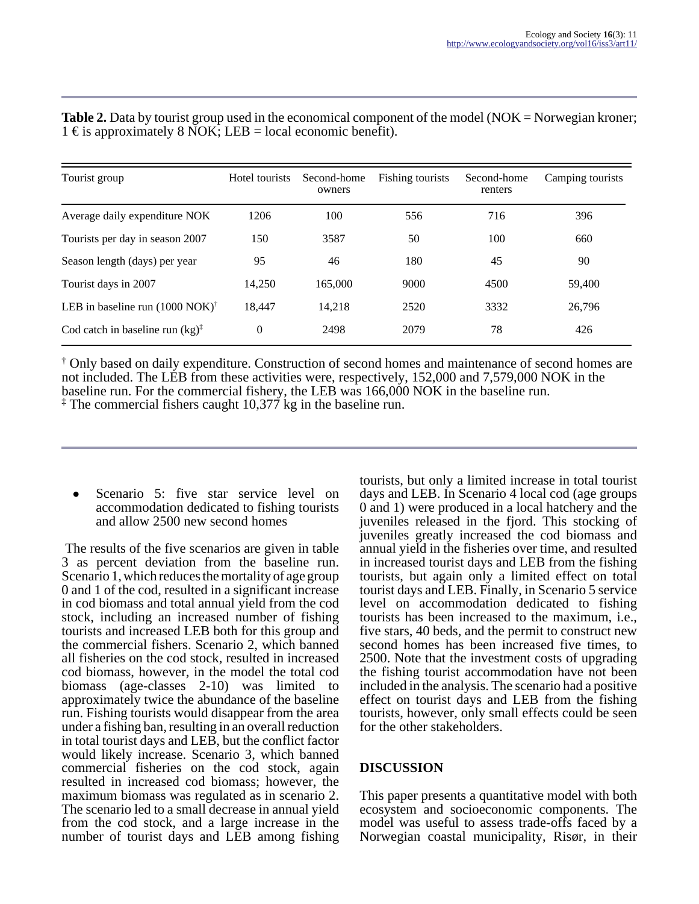| Tourist group                                      | Hotel tourists | Second-home<br>owners | Fishing tourists | Second-home<br>renters | Camping tourists |
|----------------------------------------------------|----------------|-----------------------|------------------|------------------------|------------------|
| Average daily expenditure NOK                      | 1206           | 100                   | 556              | 716                    | 396              |
| Tourists per day in season 2007                    | 150            | 3587                  | 50               | 100                    | 660              |
| Season length (days) per year                      | 95             | 46                    | 180              | 45                     | 90               |
| Tourist days in 2007                               | 14,250         | 165,000               | 9000             | 4500                   | 59,400           |
| LEB in baseline run $(1000 \text{ NOK})^{\dagger}$ | 18.447         | 14,218                | 2520             | 3332                   | 26,796           |
| Cod catch in baseline run $(kg)^{\ddagger}$        | $\theta$       | 2498                  | 2079             | 78                     | 426              |

**Table 2.** Data by tourist group used in the economical component of the model (NOK = Norwegian kroner; 1 € is approximately 8 NOK; LEB = local economic benefit).

† Only based on daily expenditure. Construction of second homes and maintenance of second homes are not included. The LEB from these activities were, respectively, 152,000 and 7,579,000 NOK in the baseline run. For the commercial fishery, the LEB was 166,000 NOK in the baseline run. ‡ The commercial fishers caught 10,377 kg in the baseline run.

Scenario 5: five star service level on accommodation dedicated to fishing tourists and allow 2500 new second homes

 The results of the five scenarios are given in table 3 as percent deviation from the baseline run. Scenario 1, which reduces the mortality of age group 0 and 1 of the cod, resulted in a significant increase in cod biomass and total annual yield from the cod stock, including an increased number of fishing tourists and increased LEB both for this group and the commercial fishers. Scenario 2, which banned all fisheries on the cod stock, resulted in increased cod biomass, however, in the model the total cod biomass (age-classes 2-10) was limited to approximately twice the abundance of the baseline run. Fishing tourists would disappear from the area under a fishing ban, resulting in an overall reduction in total tourist days and LEB, but the conflict factor would likely increase. Scenario 3, which banned commercial fisheries on the cod stock, again resulted in increased cod biomass; however, the maximum biomass was regulated as in scenario 2. The scenario led to a small decrease in annual yield from the cod stock, and a large increase in the number of tourist days and LEB among fishing

tourists, but only a limited increase in total tourist days and LEB. In Scenario 4 local cod (age groups 0 and 1) were produced in a local hatchery and the juveniles released in the fjord. This stocking of juveniles greatly increased the cod biomass and annual yield in the fisheries over time, and resulted in increased tourist days and LEB from the fishing tourists, but again only a limited effect on total tourist days and LEB. Finally, in Scenario 5 service level on accommodation dedicated to fishing tourists has been increased to the maximum, i.e., five stars, 40 beds, and the permit to construct new second homes has been increased five times, to 2500. Note that the investment costs of upgrading the fishing tourist accommodation have not been included in the analysis. The scenario had a positive effect on tourist days and LEB from the fishing tourists, however, only small effects could be seen for the other stakeholders.

## **DISCUSSION**

This paper presents a quantitative model with both ecosystem and socioeconomic components. The model was useful to assess trade-offs faced by a Norwegian coastal municipality, Risør, in their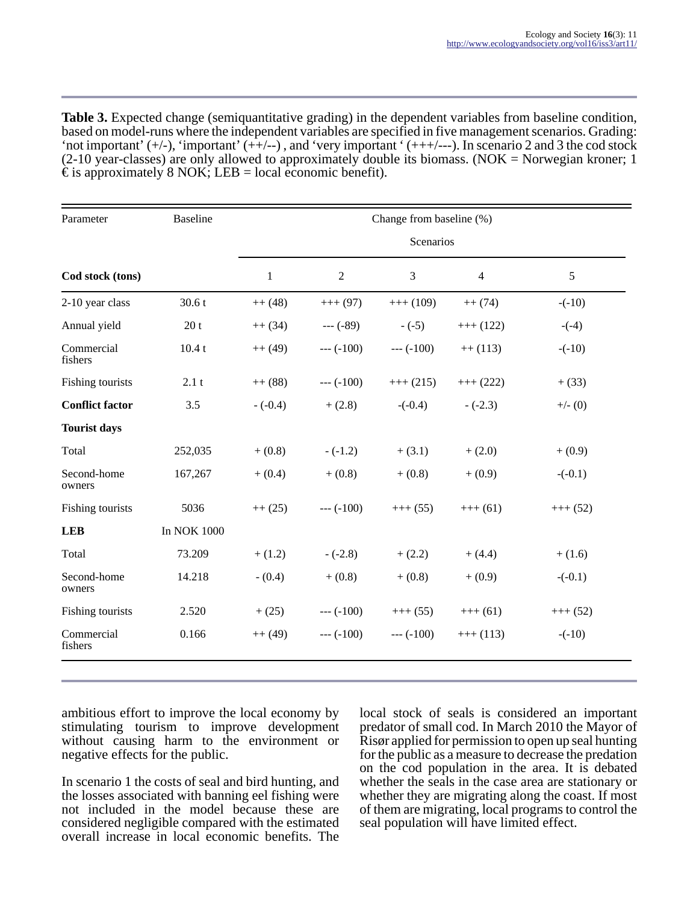**Table 3.** Expected change (semiquantitative grading) in the dependent variables from baseline condition, based on model-runs where the independent variables are specified in five management scenarios. Grading: 'not important'  $(+/-)$ , 'important'  $(++/-)$ , and 'very important'  $(+++/--)$ . In scenario 2 and 3 the cod stock  $(2-10 \text{ year-classes})$  are only allowed to approximately double its biomass. (NOK = Norwegian kroner; 1)  $\epsilon$  is approximately 8 NOK; LEB = local economic benefit).

| Parameter              | <b>Baseline</b> | Change from baseline (%) |              |              |                |            |  |  |  |
|------------------------|-----------------|--------------------------|--------------|--------------|----------------|------------|--|--|--|
|                        |                 | Scenarios                |              |              |                |            |  |  |  |
| Cod stock (tons)       |                 | $\mathbf{1}$             | $\sqrt{2}$   | 3            | $\overline{4}$ | 5          |  |  |  |
| 2-10 year class        | 30.6t           | $++ (48)$                | $+++ (97)$   | $+++ (109)$  | $++(74)$       | $-(-10)$   |  |  |  |
| Annual yield           | 20t             | $++ (34)$                | $-- (-89)$   | $-(-5)$      | $+++ (122)$    | $-(-4)$    |  |  |  |
| Commercial<br>fishers  | 10.4t           | $++(49)$                 | $--- (-100)$ | $--- (-100)$ | $++(113)$      | $-(-10)$   |  |  |  |
| Fishing tourists       | 2.1 t           | $++(88)$                 | $--- (-100)$ | $+++ (215)$  | $+++ (222)$    | $+(33)$    |  |  |  |
| <b>Conflict factor</b> | 3.5             | $-(-0.4)$                | $+(2.8)$     | $-(-0.4)$    | $-(-2.3)$      | $+/-$ (0)  |  |  |  |
| <b>Tourist days</b>    |                 |                          |              |              |                |            |  |  |  |
| Total                  | 252,035         | $+(0.8)$                 | $-(-1.2)$    | $+(3.1)$     | $+ (2.0)$      | $+(0.9)$   |  |  |  |
| Second-home<br>owners  | 167,267         | $+ (0.4)$                | $+(0.8)$     | $+(0.8)$     | $+(0.9)$       | $-(-0.1)$  |  |  |  |
| Fishing tourists       | 5036            | $++ (25)$                | $--- (-100)$ | $+++ (55)$   | $+++ (61)$     | $+++ (52)$ |  |  |  |
| <b>LEB</b>             | In NOK 1000     |                          |              |              |                |            |  |  |  |
| Total                  | 73.209          | $+(1.2)$                 | $-(-2.8)$    | $+(2.2)$     | $+ (4.4)$      | $+(1.6)$   |  |  |  |
| Second-home<br>owners  | 14.218          | $- (0.4)$                | $+(0.8)$     | $+(0.8)$     | $+(0.9)$       | $-(-0.1)$  |  |  |  |
| Fishing tourists       | 2.520           | $+(25)$                  | $--- (-100)$ | $+++ (55)$   | $+++ (61)$     | $+++ (52)$ |  |  |  |
| Commercial<br>fishers  | 0.166           | $++(49)$                 | $--- (-100)$ | $--- (-100)$ | $++(113)$      | $-(-10)$   |  |  |  |

ambitious effort to improve the local economy by stimulating tourism to improve development without causing harm to the environment or negative effects for the public.

In scenario 1 the costs of seal and bird hunting, and the losses associated with banning eel fishing were not included in the model because these are considered negligible compared with the estimated overall increase in local economic benefits. The

local stock of seals is considered an important predator of small cod. In March 2010 the Mayor of Risør applied for permission to open up seal hunting for the public as a measure to decrease the predation on the cod population in the area. It is debated whether the seals in the case area are stationary or whether they are migrating along the coast. If most of them are migrating, local programs to control the seal population will have limited effect.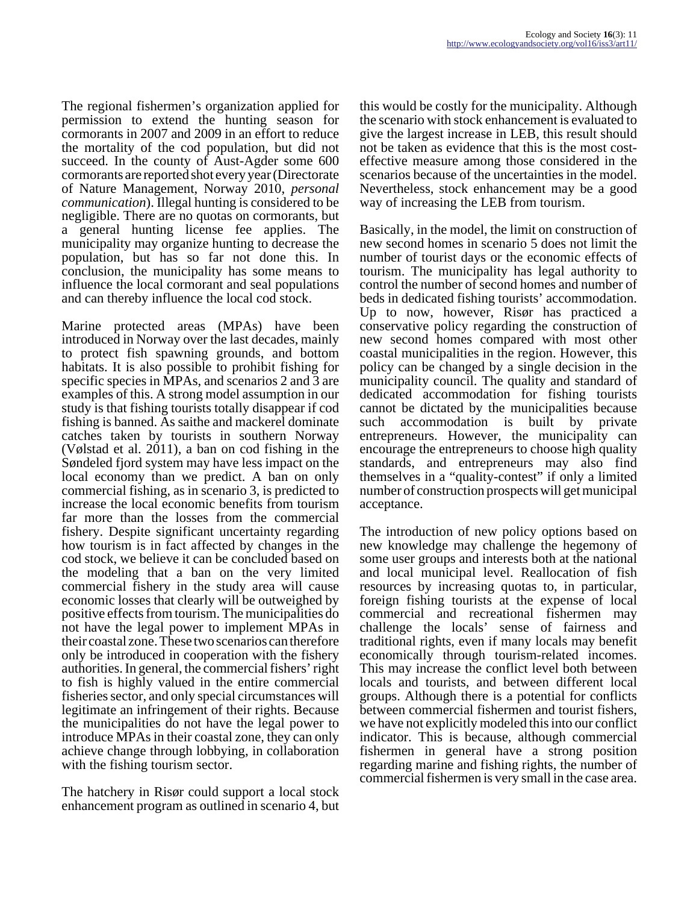The regional fishermen's organization applied for permission to extend the hunting season for cormorants in 2007 and 2009 in an effort to reduce the mortality of the cod population, but did not succeed. In the county of Aust-Agder some 600 cormorants are reported shot every year (Directorate of Nature Management, Norway 2010, *personal communication*). Illegal hunting is considered to be negligible. There are no quotas on cormorants, but a general hunting license fee applies. The municipality may organize hunting to decrease the population, but has so far not done this. In conclusion, the municipality has some means to influence the local cormorant and seal populations and can thereby influence the local cod stock.

Marine protected areas (MPAs) have been introduced in Norway over the last decades, mainly to protect fish spawning grounds, and bottom habitats. It is also possible to prohibit fishing for specific species in MPAs, and scenarios 2 and 3 are examples of this. A strong model assumption in our study is that fishing tourists totally disappear if cod fishing is banned. As saithe and mackerel dominate catches taken by tourists in southern Norway (Vølstad et al. 2011), a ban on cod fishing in the Søndeled fjord system may have less impact on the local economy than we predict. A ban on only commercial fishing, as in scenario 3, is predicted to increase the local economic benefits from tourism far more than the losses from the commercial fishery. Despite significant uncertainty regarding how tourism is in fact affected by changes in the cod stock, we believe it can be concluded based on the modeling that a ban on the very limited commercial fishery in the study area will cause economic losses that clearly will be outweighed by positive effects from tourism. The municipalities do not have the legal power to implement MPAs in their coastal zone. These two scenarios can therefore only be introduced in cooperation with the fishery authorities. In general, the commercial fishers' right to fish is highly valued in the entire commercial fisheries sector, and only special circumstances will legitimate an infringement of their rights. Because the municipalities do not have the legal power to introduce MPAs in their coastal zone, they can only achieve change through lobbying, in collaboration with the fishing tourism sector.

The hatchery in Risør could support a local stock enhancement program as outlined in scenario 4, but this would be costly for the municipality. Although the scenario with stock enhancement is evaluated to give the largest increase in LEB, this result should not be taken as evidence that this is the most costeffective measure among those considered in the scenarios because of the uncertainties in the model. Nevertheless, stock enhancement may be a good way of increasing the LEB from tourism.

Basically, in the model, the limit on construction of new second homes in scenario 5 does not limit the number of tourist days or the economic effects of tourism. The municipality has legal authority to control the number of second homes and number of beds in dedicated fishing tourists' accommodation. Up to now, however, Risør has practiced a conservative policy regarding the construction of new second homes compared with most other coastal municipalities in the region. However, this policy can be changed by a single decision in the municipality council. The quality and standard of dedicated accommodation for fishing tourists cannot be dictated by the municipalities because such accommodation is built by private entrepreneurs. However, the municipality can encourage the entrepreneurs to choose high quality standards, and entrepreneurs may also find themselves in a "quality-contest" if only a limited number of construction prospects will get municipal acceptance.

The introduction of new policy options based on new knowledge may challenge the hegemony of some user groups and interests both at the national and local municipal level. Reallocation of fish resources by increasing quotas to, in particular, foreign fishing tourists at the expense of local commercial and recreational fishermen may challenge the locals' sense of fairness and traditional rights, even if many locals may benefit economically through tourism-related incomes. This may increase the conflict level both between locals and tourists, and between different local groups. Although there is a potential for conflicts between commercial fishermen and tourist fishers, we have not explicitly modeled this into our conflict indicator. This is because, although commercial fishermen in general have a strong position regarding marine and fishing rights, the number of commercial fishermen is very small in the case area.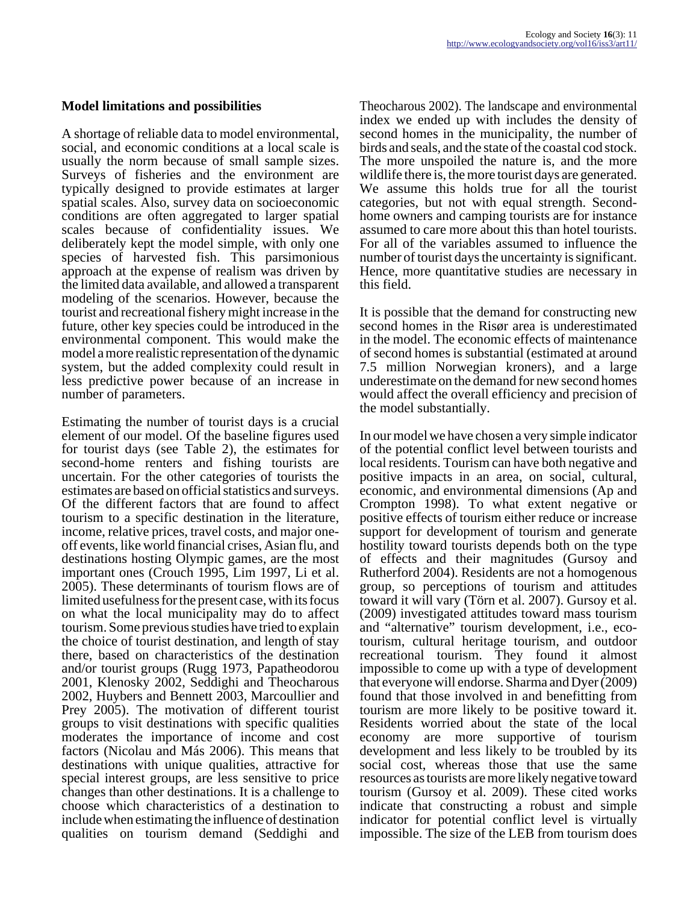#### **Model limitations and possibilities**

A shortage of reliable data to model environmental, social, and economic conditions at a local scale is usually the norm because of small sample sizes. Surveys of fisheries and the environment are typically designed to provide estimates at larger spatial scales. Also, survey data on socioeconomic conditions are often aggregated to larger spatial scales because of confidentiality issues. We deliberately kept the model simple, with only one species of harvested fish. This parsimonious approach at the expense of realism was driven by the limited data available, and allowed a transparent modeling of the scenarios. However, because the tourist and recreational fishery might increase in the future, other key species could be introduced in the environmental component. This would make the model a more realistic representation of the dynamic system, but the added complexity could result in less predictive power because of an increase in number of parameters.

Estimating the number of tourist days is a crucial element of our model. Of the baseline figures used for tourist days (see Table 2), the estimates for second-home renters and fishing tourists are uncertain. For the other categories of tourists the estimates are based on official statistics and surveys. Of the different factors that are found to affect tourism to a specific destination in the literature, income, relative prices, travel costs, and major oneoff events, like world financial crises, Asian flu, and destinations hosting Olympic games, are the most important ones (Crouch 1995, Lim 1997, Li et al. 2005). These determinants of tourism flows are of limited usefulness for the present case, with its focus on what the local municipality may do to affect tourism. Some previous studies have tried to explain the choice of tourist destination, and length of stay there, based on characteristics of the destination and/or tourist groups (Rugg 1973, Papatheodorou 2001, Klenosky 2002, Seddighi and Theocharous 2002, Huybers and Bennett 2003, Marcoullier and Prey 2005). The motivation of different tourist groups to visit destinations with specific qualities moderates the importance of income and cost factors (Nicolau and Más 2006). This means that destinations with unique qualities, attractive for special interest groups, are less sensitive to price changes than other destinations. It is a challenge to choose which characteristics of a destination to include when estimating the influence of destination qualities on tourism demand (Seddighi and

Theocharous 2002). The landscape and environmental index we ended up with includes the density of second homes in the municipality, the number of birds and seals, and the state of the coastal cod stock. The more unspoiled the nature is, and the more wildlife there is, the more tourist days are generated. We assume this holds true for all the tourist categories, but not with equal strength. Secondhome owners and camping tourists are for instance assumed to care more about this than hotel tourists. For all of the variables assumed to influence the number of tourist days the uncertainty is significant. Hence, more quantitative studies are necessary in this field.

It is possible that the demand for constructing new second homes in the Risør area is underestimated in the model. The economic effects of maintenance of second homes is substantial (estimated at around 7.5 million Norwegian kroners), and a large underestimate on the demand for new second homes would affect the overall efficiency and precision of the model substantially.

In our model we have chosen a very simple indicator of the potential conflict level between tourists and local residents. Tourism can have both negative and positive impacts in an area, on social, cultural, economic, and environmental dimensions (Ap and Crompton 1998). To what extent negative or positive effects of tourism either reduce or increase support for development of tourism and generate hostility toward tourists depends both on the type of effects and their magnitudes (Gursoy and Rutherford 2004). Residents are not a homogenous group, so perceptions of tourism and attitudes toward it will vary (Törn et al. 2007). Gursoy et al. (2009) investigated attitudes toward mass tourism and "alternative" tourism development, i.e., ecotourism, cultural heritage tourism, and outdoor recreational tourism. They found it almost impossible to come up with a type of development that everyone will endorse. Sharma and Dyer (2009) found that those involved in and benefitting from tourism are more likely to be positive toward it. Residents worried about the state of the local economy are more supportive of tourism development and less likely to be troubled by its social cost, whereas those that use the same resources as tourists are more likely negative toward tourism (Gursoy et al. 2009). These cited works indicate that constructing a robust and simple indicator for potential conflict level is virtually impossible. The size of the LEB from tourism does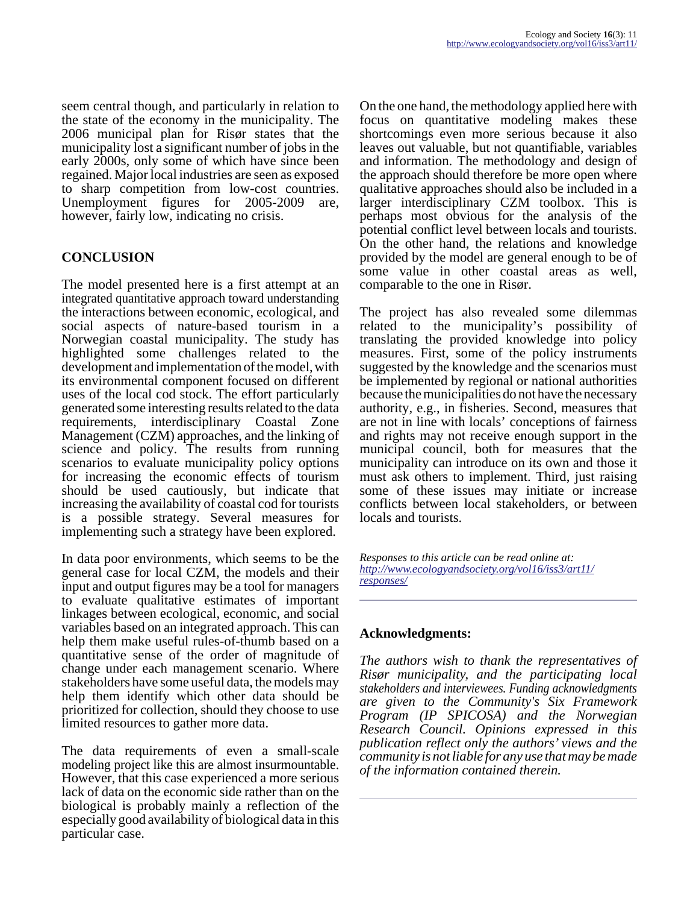seem central though, and particularly in relation to the state of the economy in the municipality. The 2006 municipal plan for Risør states that the municipality lost a significant number of jobs in the early 2000s, only some of which have since been regained. Major local industries are seen as exposed to sharp competition from low-cost countries. Unemployment figures for 2005-2009 are, however, fairly low, indicating no crisis.

## **CONCLUSION**

The model presented here is a first attempt at an integrated quantitative approach toward understanding the interactions between economic, ecological, and social aspects of nature-based tourism in a Norwegian coastal municipality. The study has highlighted some challenges related to the development and implementation of the model, with its environmental component focused on different uses of the local cod stock. The effort particularly generated some interesting results related to the data requirements, interdisciplinary Coastal Zone Management (CZM) approaches, and the linking of science and policy. The results from running scenarios to evaluate municipality policy options for increasing the economic effects of tourism should be used cautiously, but indicate that increasing the availability of coastal cod for tourists is a possible strategy. Several measures for implementing such a strategy have been explored.

In data poor environments, which seems to be the general case for local CZM, the models and their input and output figures may be a tool for managers to evaluate qualitative estimates of important linkages between ecological, economic, and social variables based on an integrated approach. This can help them make useful rules-of-thumb based on a quantitative sense of the order of magnitude of change under each management scenario. Where stakeholders have some useful data, the models may help them identify which other data should be prioritized for collection, should they choose to use limited resources to gather more data.

The data requirements of even a small-scale modeling project like this are almost insurmountable. However, that this case experienced a more serious lack of data on the economic side rather than on the biological is probably mainly a reflection of the especially good availability of biological data in this particular case.

On the one hand, the methodology applied here with focus on quantitative modeling makes these shortcomings even more serious because it also leaves out valuable, but not quantifiable, variables and information. The methodology and design of the approach should therefore be more open where qualitative approaches should also be included in a larger interdisciplinary CZM toolbox. This is perhaps most obvious for the analysis of the potential conflict level between locals and tourists. On the other hand, the relations and knowledge provided by the model are general enough to be of some value in other coastal areas as well, comparable to the one in Risør.

The project has also revealed some dilemmas related to the municipality's possibility of translating the provided knowledge into policy measures. First, some of the policy instruments suggested by the knowledge and the scenarios must be implemented by regional or national authorities because the municipalities do not have the necessary authority, e.g., in fisheries. Second, measures that are not in line with locals' conceptions of fairness and rights may not receive enough support in the municipal council, both for measures that the municipality can introduce on its own and those it must ask others to implement. Third, just raising some of these issues may initiate or increase conflicts between local stakeholders, or between locals and tourists.

*Responses to this article can be read online at: [http://www](http://www.ecologyandsociety.org/vol16/iss3/art11/responses/).ecologyandsociety.org/vol16/iss3/art11/ responses/*

### **Acknowledgments:**

*The authors wish to thank the representatives of Risør municipality, and the participating local stakeholders and interviewees. Funding acknowledgments are given to the Community's Six Framework Program (IP SPICOSA) and the Norwegian Research Council. Opinions expressed in this publication reflect only the authors' views and the community is not liable for any use that may be made of the information contained therein.*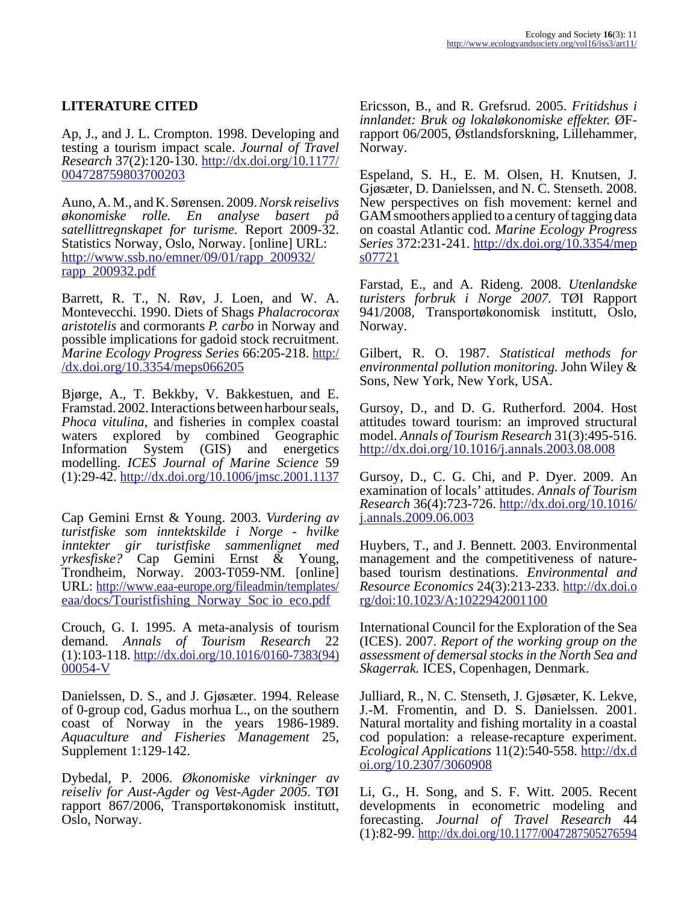### **LITERATURE CITED**

Ap, J., and J. L. Crompton. 1998. Developing and testing a tourism impact scale. *Journal of Travel Research* 37(2):120-130. [http://dx.doi.org/10.1177/](http://dx.doi.org/10.1177/004728759803700203) [004728759803700203](http://dx.doi.org/10.1177/004728759803700203)

Auno, A. M., and K. Sørensen. 2009. *Norsk reiselivs økonomiske rolle. En analyse basert på satellittregnskapet for turisme.* Report 2009-32. Statistics Norway, Oslo, Norway. [online] URL: [http://www.ssb.no/emner/09/01/rapp\\_200932/](http://www.ssb.no/emner/09/01/rapp_200932/rapp_200932.pdf) [rapp\\_200932.pdf](http://www.ssb.no/emner/09/01/rapp_200932/rapp_200932.pdf)

Barrett, R. T., N. Røv, J. Loen, and W. A. Montevecchi. 1990. Diets of Shags *Phalacrocorax aristotelis* and cormorants *P. carbo* in Norway and possible implications for gadoid stock recruitment. *Marine Ecology Progress Series* 66:205-218. [http:/](http://dx.doi.org/10.3354/meps066205) [/dx.doi.org/10.3354/meps066205](http://dx.doi.org/10.3354/meps066205)

Bjørge, A., T. Bekkby, V. Bakkestuen, and E. Framstad. 2002. Interactions between harbour seals, *Phoca vitulina*, and fisheries in complex coastal waters explored by combined Geographic waters explored by Information System (GIS) and energetics modelling. *ICES Journal of Marine Science* 59  $(1):29-42.$ <http://dx.doi.org/10.1006/jmsc.2001.1137>

Cap Gemini Ernst & Young. 2003. *Vurdering av turistfiske som inntektskilde i Norge - hvilke inntekter gir turistfiske sammenlignet med yrkesfiske?* Cap Gemini Ernst & Young, Trondheim, Norway. 2003-T059-NM. [online] URL: [http://www.eaa-europe.org/fileadmin/templates/](http://www.eaa-europe.org/fileadmin/templates/eaa/docs/Touristfishing_Norway_Soc io_eco.pdf) [eaa/docs/Touristfishing\\_Norway\\_Soc io\\_eco.pdf](http://www.eaa-europe.org/fileadmin/templates/eaa/docs/Touristfishing_Norway_Soc io_eco.pdf)

Crouch, G. I. 1995. A meta-analysis of tourism demand. *Annals of Tourism Research* 22 (1):103-118. [http://dx.doi.org/10.1016/0160-7383\(94\)](http://dx.doi.org/10.1016/0160-7383(94)00054-V) [00054-V](http://dx.doi.org/10.1016/0160-7383(94)00054-V)

Danielssen, D. S., and J. Gjøsæter. 1994. Release of 0-group cod, Gadus morhua L., on the southern coast of Norway in the years 1986-1989. *Aquaculture and Fisheries Management* 25, Supplement 1:129-142.

Dybedal, P. 2006. *Økonomiske virkninger av reiseliv for Aust-Agder og Vest-Agder 2005.* TØI rapport 867/2006, Transportøkonomisk institutt, Oslo, Norway.

Ericsson, B., and R. Grefsrud. 2005. *Fritidshus i innlandet: Bruk og lokaløkonomiske effekter.* ØFrapport 06/2005, Østlandsforskning, Lillehammer, Norway.

Espeland, S. H., E. M. Olsen, H. Knutsen, J. Gjøsæter, D. Danielssen, and N. C. Stenseth. 2008. New perspectives on fish movement: kernel and GAM smoothers applied to a century of tagging data on coastal Atlantic cod. *Marine Ecology Progress Series* 372:231-241. [http://dx.doi.org/10.3354/mep](http://dx.doi.org/10.3354/meps07721) [s07721](http://dx.doi.org/10.3354/meps07721)

Farstad, E., and A. Rideng. 2008. *Utenlandske turisters forbruk i Norge 2007.* TØI Rapport 941/2008, Transportøkonomisk institutt, Oslo, Norway.

Gilbert, R. O. 1987. *Statistical methods for environmental pollution monitoring.* John Wiley & Sons, New York, New York, USA.

Gursoy, D., and D. G. Rutherford. 2004. Host attitudes toward tourism: an improved structural model. *Annals of Tourism Research* 31(3):495-516. <http://dx.doi.org/10.1016/j.annals.2003.08.008>

Gursoy, D., C. G. Chi, and P. Dyer. 2009. An examination of locals' attitudes. *Annals of Tourism Research* 36(4):723-726. [http://dx.doi.org/10.1016/](http://dx.doi.org/10.1016/j.annals.2009.06.003) [j.annals.2009.06.003](http://dx.doi.org/10.1016/j.annals.2009.06.003)

Huybers, T., and J. Bennett. 2003. Environmental management and the competitiveness of naturebased tourism destinations. *Environmental and Resource Economics* 24(3):213-233. [http://dx.doi.o](http://dx.doi.org/doi:10.1023/A:1022942001100) [rg/doi:10.1023/A:1022942001100](http://dx.doi.org/doi:10.1023/A:1022942001100)

International Council for the Exploration of the Sea (ICES). 2007. *Report of the working group on the assessment of demersal stocks in the North Sea and Skagerrak.* ICES, Copenhagen, Denmark.

Julliard, R., N. C. Stenseth, J. Gjøsæter, K. Lekve, J.-M. Fromentin, and D. S. Danielssen. 2001. Natural mortality and fishing mortality in a coastal cod population: a release-recapture experiment. *Ecological Applications* 11(2):540-558. [http://dx.d](http://dx.doi.org/10.2307/3060908) [oi.org/10.2307/3060908](http://dx.doi.org/10.2307/3060908)

Li, G., H. Song, and S. F. Witt. 2005. Recent developments in econometric modeling and forecasting. *Journal of Travel Research* 44 (1):82-99.<http://dx.doi.org/10.1177/0047287505276594>